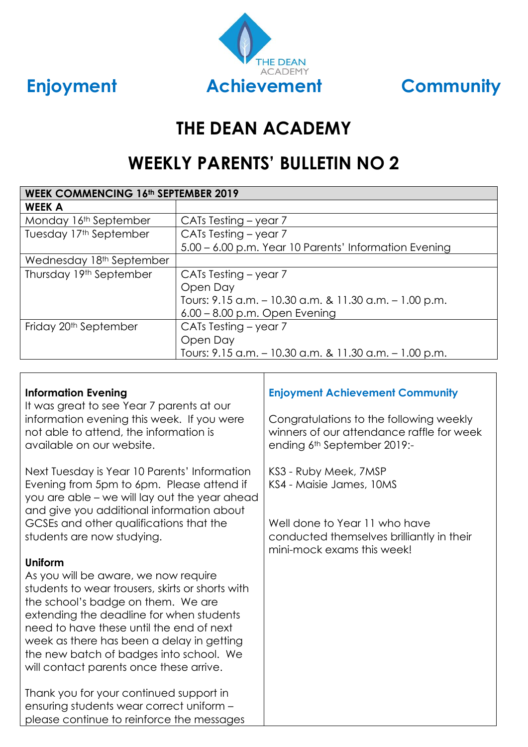



# **THE DEAN ACADEMY**

# **WEEKLY PARENTS' BULLETIN NO 2**

| <b>WEEK COMMENCING 16th SEPTEMBER 2019</b> |                                                        |  |  |  |  |
|--------------------------------------------|--------------------------------------------------------|--|--|--|--|
| <b>WEEK A</b>                              |                                                        |  |  |  |  |
| Monday 16th September                      | CATs Testing – year 7                                  |  |  |  |  |
| Tuesday 17th September                     | CATs Testing - year 7                                  |  |  |  |  |
|                                            | 5.00 – 6.00 p.m. Year 10 Parents' Information Evening  |  |  |  |  |
| Wednesday 18th September                   |                                                        |  |  |  |  |
| Thursday 19th September                    | CATs Testing – year 7                                  |  |  |  |  |
|                                            | Open Day                                               |  |  |  |  |
|                                            | Tours: 9.15 a.m. - 10.30 a.m. & 11.30 a.m. - 1.00 p.m. |  |  |  |  |
|                                            | $6.00 - 8.00$ p.m. Open Evening                        |  |  |  |  |
| Friday 20 <sup>th</sup> September          | CATs Testing – year 7                                  |  |  |  |  |
|                                            | Open Day                                               |  |  |  |  |
|                                            | Tours: 9.15 a.m. - 10.30 a.m. & 11.30 a.m. - 1.00 p.m. |  |  |  |  |

#### **Information Evening**

It was great to see Year 7 parents at our information evening this week. If you were not able to attend, the information is available on our website.

Next Tuesday is Year 10 Parents' Information Evening from 5pm to 6pm. Please attend if you are able – we will lay out the year ahead and give you additional information about GCSEs and other qualifications that the students are now studying.

#### **Uniform**

As you will be aware, we now require students to wear trousers, skirts or shorts with the school's badge on them. We are extending the deadline for when students need to have these until the end of next week as there has been a delay in getting the new batch of badges into school. We will contact parents once these arrive.

Thank you for your continued support in ensuring students wear correct uniform – please continue to reinforce the messages

## **Enjoyment Achievement Community**

Congratulations to the following weekly winners of our attendance raffle for week ending 6th September 2019:-

KS3 - Ruby Meek, 7MSP KS4 - Maisie James, 10MS

Well done to Year 11 who have conducted themselves brilliantly in their mini-mock exams this week!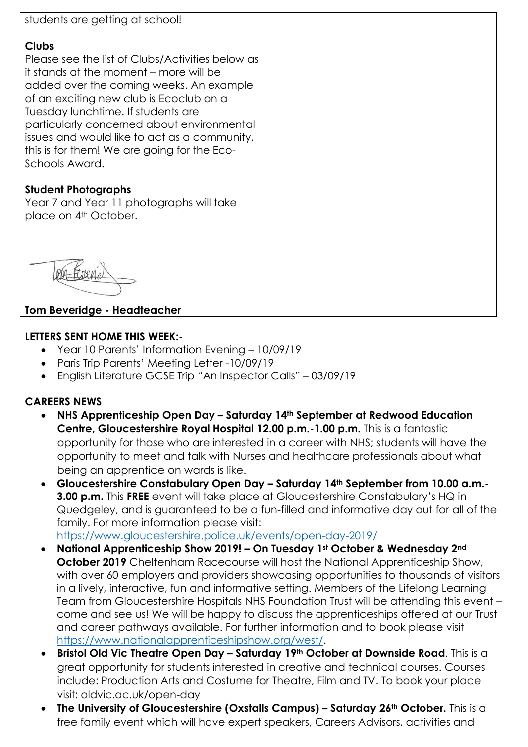

### **Clubs**

Please see the list of Clubs/Activities below as it stands at the moment – more will be added over the coming weeks. An example of an exciting new club is Ecoclub on a Tuesday lunchtime. If students are particularly concerned about environmental issues and would like to act as a community, this is for them! We are going for the Eco-Schools Award.

## **Student Photographs**

Year 7 and Year 11 photographs will take place on 4<sup>th</sup> October.

## **Tom Beveridge - Headteacher**

### **LETTERS SENT HOME THIS WEEK:-**

- Year 10 Parents' Information Evening 10/09/19
- Paris Trip Parents' Meeting Letter -10/09/19
- English Literature GCSE Trip "An Inspector Calls" 03/09/19

## **CAREERS NEWS**

- **NHS Apprenticeship Open Day – Saturday 14th September at Redwood Education Centre, Gloucestershire Royal Hospital 12.00 p.m.-1.00 p.m.** This is a fantastic opportunity for those who are interested in a career with NHS; students will have the opportunity to meet and talk with Nurses and healthcare professionals about what being an apprentice on wards is like.
- **Gloucestershire Constabulary Open Day – Saturday 14th September from 10.00 a.m.- 3.00 p.m.** This **FREE** event will take place at Gloucestershire Constabulary's HQ in Quedgeley, and is guaranteed to be a fun-filled and informative day out for all of the family. For more information please visit:

<https://www.gloucestershire.police.uk/events/open-day-2019/>

- **National Apprenticeship Show 2019! – On Tuesday 1st October & Wednesday 2nd October 2019** Cheltenham Racecourse will host the National Apprenticeship Show, with over 60 employers and providers showcasing opportunities to thousands of visitors in a lively, interactive, fun and informative setting. Members of the Lifelong Learning Team from Gloucestershire Hospitals NHS Foundation Trust will be attending this event – come and see us! We will be happy to discuss the apprenticeships offered at our Trust and career pathways available. For further information and to book please visit [https://www.nationalapprenticeshipshow.org/west/.](https://www.nationalapprenticeshipshow.org/west/)
- **Bristol Old Vic Theatre Open Day – Saturday 19th October at Downside Road**. This is a great opportunity for students interested in creative and technical courses. Courses include: Production Arts and Costume for Theatre, Film and TV. To book your place visit: oldvic.ac.uk/open-day
- **The University of Gloucestershire (Oxstalls Campus) – Saturday 26th October.** This is a free family event which will have expert speakers, Careers Advisors, activities and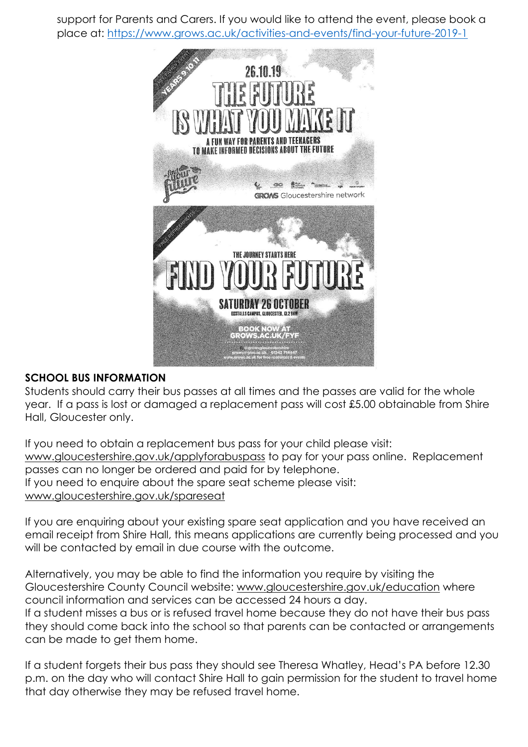support for Parents and Carers. If you would like to attend the event, please book a place at:<https://www.grows.ac.uk/activities-and-events/find-your-future-2019-1>



## **SCHOOL BUS INFORMATION**

Students should carry their bus passes at all times and the passes are valid for the whole year. If a pass is lost or damaged a replacement pass will cost £5.00 obtainable from Shire Hall, Gloucester only.

If you need to obtain a replacement bus pass for your child please visit: [www.gloucestershire.gov.uk/applyforabuspass](http://www.gloucestershire.gov.uk/applyforabuspass) to pay for your pass online. Replacement passes can no longer be ordered and paid for by telephone. If you need to enquire about the spare seat scheme please visit: [www.gloucestershire.gov.uk/spareseat](http://www.gloucestershire.gov.uk/spareseat)

If you are enquiring about your existing spare seat application and you have received an email receipt from Shire Hall, this means applications are currently being processed and you will be contacted by email in due course with the outcome.

Alternatively, you may be able to find the information you require by visiting the Gloucestershire County Council website: [www.gloucestershire.gov.uk/education](http://www.gloucestershire.gov.uk/education) where council information and services can be accessed 24 hours a day. If a student misses a bus or is refused travel home because they do not have their bus pass they should come back into the school so that parents can be contacted or arrangements can be made to get them home.

If a student forgets their bus pass they should see Theresa Whatley, Head's PA before 12.30 p.m. on the day who will contact Shire Hall to gain permission for the student to travel home that day otherwise they may be refused travel home.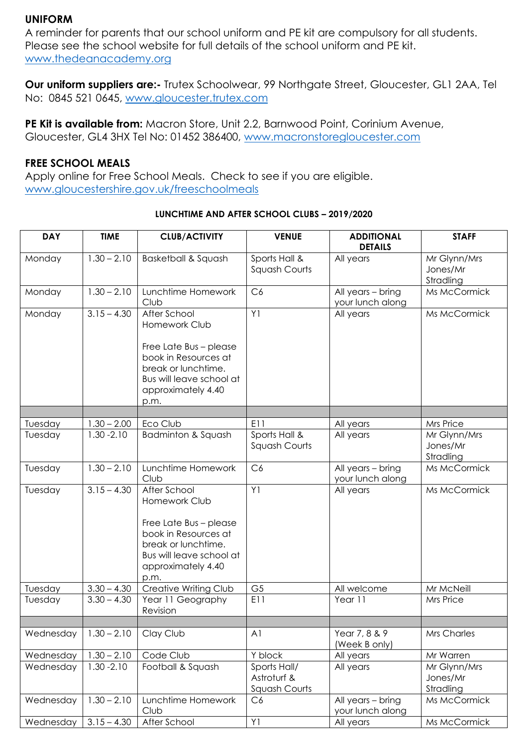### **UNIFORM**

A reminder for parents that our school uniform and PE kit are compulsory for all students. Please see the school website for full details of the school uniform and PE kit. [www.thedeanacademy.org](http://www.thedeanacademy.org/)

**Our uniform suppliers are:-** Trutex Schoolwear, 99 Northgate Street, Gloucester, GL1 2AA, Tel No: 0845 521 0645, [www.gloucester.trutex.com](http://www.gloucester.trutex.com/)

**PE Kit is available from:** Macron Store, Unit 2.2, Barnwood Point, Corinium Avenue, Gloucester, GL4 3HX Tel No: 01452 386400, [www.macronstoregloucester.com](http://www.macronstoregloucester.com/)

#### **FREE SCHOOL MEALS**

Apply online for Free School Meals. Check to see if you are eligible. [www.gloucestershire.gov.uk/freeschoolmeals](http://www.gloucestershire.gov.uk/freeschoolmeals)

| <b>DAY</b> | <b>TIME</b>   | <b>CLUB/ACTIVITY</b>                                                                                                                                             | <b>VENUE</b>                                 | <b>ADDITIONAL</b><br><b>DETAILS</b>   | <b>STAFF</b>                          |
|------------|---------------|------------------------------------------------------------------------------------------------------------------------------------------------------------------|----------------------------------------------|---------------------------------------|---------------------------------------|
| Monday     | $1.30 - 2.10$ | <b>Basketball &amp; Squash</b>                                                                                                                                   | Sports Hall &<br>Squash Courts               | All years                             | Mr Glynn/Mrs<br>Jones/Mr<br>Stradling |
| Monday     | $1.30 - 2.10$ | Lunchtime Homework<br>Club                                                                                                                                       | C6                                           | All years - bring<br>your lunch along | Ms McCormick                          |
| Monday     | $3.15 - 4.30$ | After School<br>Homework Club                                                                                                                                    | Y1                                           | All years                             | Ms McCormick                          |
|            |               | Free Late Bus - please<br>book in Resources at<br>break or lunchtime.<br>Bus will leave school at<br>approximately 4.40<br>p.m.                                  |                                              |                                       |                                       |
|            |               |                                                                                                                                                                  |                                              |                                       |                                       |
| Tuesday    | $1.30 - 2.00$ | Eco Club                                                                                                                                                         | E11                                          | All years                             | Mrs Price                             |
| Tuesday    | $1.30 - 2.10$ | Badminton & Squash                                                                                                                                               | Sports Hall &<br>Squash Courts               | All years                             | Mr Glynn/Mrs<br>Jones/Mr<br>Stradling |
| Tuesday    | $1.30 - 2.10$ | Lunchtime Homework<br>Club                                                                                                                                       | C6                                           | All years - bring<br>your lunch along | Ms McCormick                          |
| Tuesday    | $3.15 - 4.30$ | After School<br>Homework Club<br>Free Late Bus - please<br>book in Resources at<br>break or lunchtime.<br>Bus will leave school at<br>approximately 4.40<br>p.m. | Y1                                           | All years                             | Ms McCormick                          |
| Tuesday    | $3.30 - 4.30$ | Creative Writing Club                                                                                                                                            | G <sub>5</sub>                               | All welcome                           | Mr McNeill                            |
| Tuesday    | $3.30 - 4.30$ | Year 11 Geography<br>Revision                                                                                                                                    | E11                                          | Year 11                               | Mrs Price                             |
|            |               |                                                                                                                                                                  |                                              |                                       |                                       |
| Wednesday  | $1.30 - 2.10$ | Clay Club                                                                                                                                                        | A <sub>1</sub>                               | Year 7, 8 & 9<br>(Week B only)        | Mrs Charles                           |
| Wednesday  | $1.30 - 2.10$ | Code Club                                                                                                                                                        | Y block                                      | All years                             | Mr Warren                             |
| Wednesday  | $1.30 - 2.10$ | Football & Squash                                                                                                                                                | Sports Hall/<br>Astroturf &<br>Squash Courts | All years                             | Mr Glynn/Mrs<br>Jones/Mr<br>Stradling |
| Wednesday  | $1.30 - 2.10$ | Lunchtime Homework<br>Club                                                                                                                                       | C <sub>6</sub>                               | All years - bring<br>your lunch along | Ms McCormick                          |
| Wednesday  | $3.15 - 4.30$ | After School                                                                                                                                                     | Y1                                           | All years                             | Ms McCormick                          |

#### **LUNCHTIME AND AFTER SCHOOL CLUBS – 2019/2020**